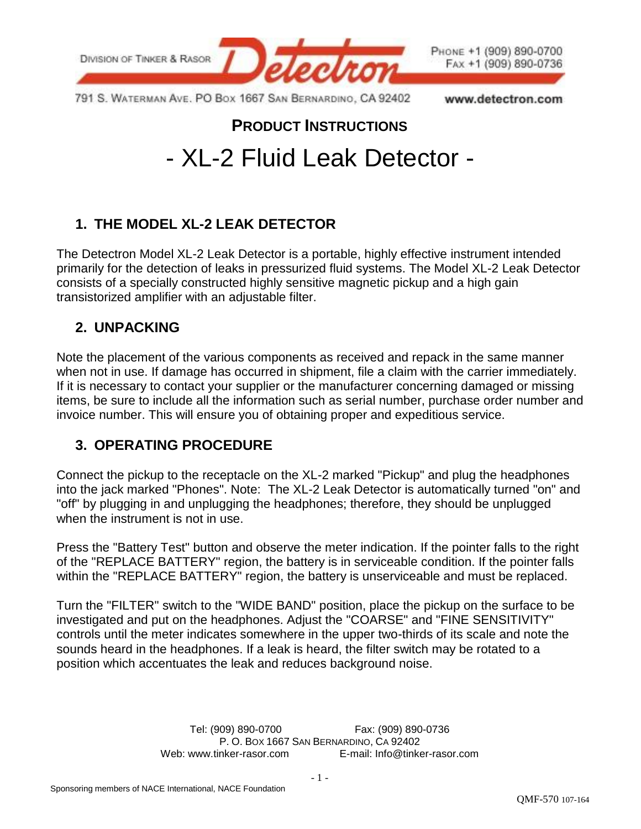

791 S. WATERMAN AVE. PO BOX 1667 SAN BERNARDINO, CA 92402

www.detectron.com

# **PRODUCT INSTRUCTIONS** - XL-2 Fluid Leak Detector -

## **1. THE MODEL XL-2 LEAK DETECTOR**

The Detectron Model XL-2 Leak Detector is a portable, highly effective instrument intended primarily for the detection of leaks in pressurized fluid systems. The Model XL-2 Leak Detector consists of a specially constructed highly sensitive magnetic pickup and a high gain transistorized amplifier with an adjustable filter.

#### **2. UNPACKING**

Note the placement of the various components as received and repack in the same manner when not in use. If damage has occurred in shipment, file a claim with the carrier immediately. If it is necessary to contact your supplier or the manufacturer concerning damaged or missing items, be sure to include all the information such as serial number, purchase order number and invoice number. This will ensure you of obtaining proper and expeditious service.

## **3. OPERATING PROCEDURE**

Connect the pickup to the receptacle on the XL-2 marked "Pickup" and plug the headphones into the jack marked "Phones". Note: The XL-2 Leak Detector is automatically turned "on" and "off" by plugging in and unplugging the headphones; therefore, they should be unplugged when the instrument is not in use.

Press the "Battery Test" button and observe the meter indication. If the pointer falls to the right of the "REPLACE BATTERY" region, the battery is in serviceable condition. If the pointer falls within the "REPLACE BATTERY" region, the battery is unserviceable and must be replaced.

Turn the "FILTER" switch to the "WIDE BAND" position, place the pickup on the surface to be investigated and put on the headphones. Adjust the "COARSE" and "FINE SENSITIVITY" controls until the meter indicates somewhere in the upper two-thirds of its scale and note the sounds heard in the headphones. If a leak is heard, the filter switch may be rotated to a position which accentuates the leak and reduces background noise.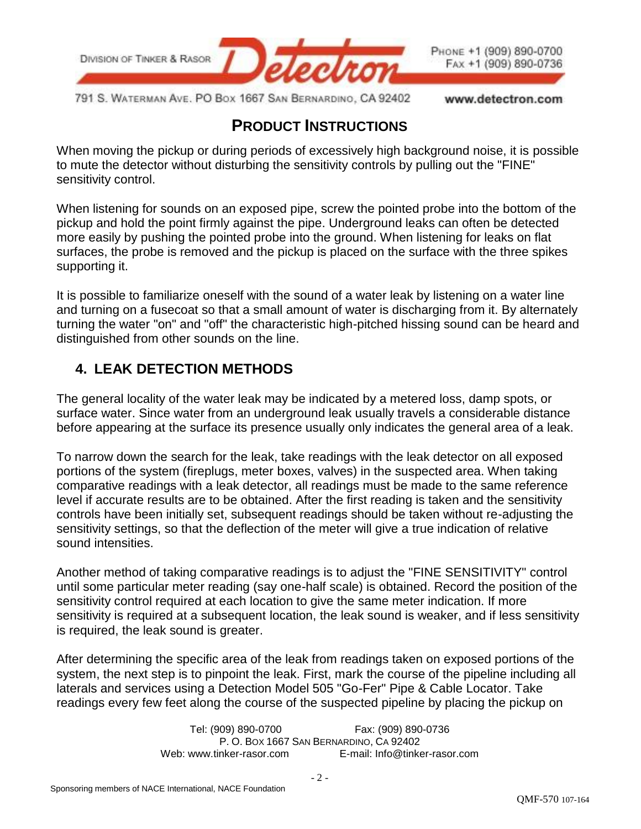

791 S. WATERMAN AVE. PO BOX 1667 SAN BERNARDINO, CA 92402

www.detectron.com

## **PRODUCT INSTRUCTIONS**

When moving the pickup or during periods of excessively high background noise, it is possible to mute the detector without disturbing the sensitivity controls by pulling out the "FINE" sensitivity control.

When listening for sounds on an exposed pipe, screw the pointed probe into the bottom of the pickup and hold the point firmly against the pipe. Underground leaks can often be detected more easily by pushing the pointed probe into the ground. When listening for leaks on flat surfaces, the probe is removed and the pickup is placed on the surface with the three spikes supporting it.

It is possible to familiarize oneself with the sound of a water leak by listening on a water line and turning on a fusecoat so that a small amount of water is discharging from it. By alternately turning the water "on" and "off" the characteristic high-pitched hissing sound can be heard and distinguished from other sounds on the line.

## **4. LEAK DETECTION METHODS**

The general locality of the water leak may be indicated by a metered loss, damp spots, or surface water. Since water from an underground leak usually travels a considerable distance before appearing at the surface its presence usually only indicates the general area of a leak.

To narrow down the search for the leak, take readings with the leak detector on all exposed portions of the system (fireplugs, meter boxes, valves) in the suspected area. When taking comparative readings with a leak detector, all readings must be made to the same reference level if accurate results are to be obtained. After the first reading is taken and the sensitivity controls have been initially set, subsequent readings should be taken without re-adjusting the sensitivity settings, so that the deflection of the meter will give a true indication of relative sound intensities.

Another method of taking comparative readings is to adjust the "FINE SENSITIVITY" control until some particular meter reading (say one-half scale) is obtained. Record the position of the sensitivity control required at each location to give the same meter indication. If more sensitivity is required at a subsequent location, the leak sound is weaker, and if less sensitivity is required, the leak sound is greater.

After determining the specific area of the leak from readings taken on exposed portions of the system, the next step is to pinpoint the leak. First, mark the course of the pipeline including all laterals and services using a Detection Model 505 "Go-Fer" Pipe & Cable Locator. Take readings every few feet along the course of the suspected pipeline by placing the pickup on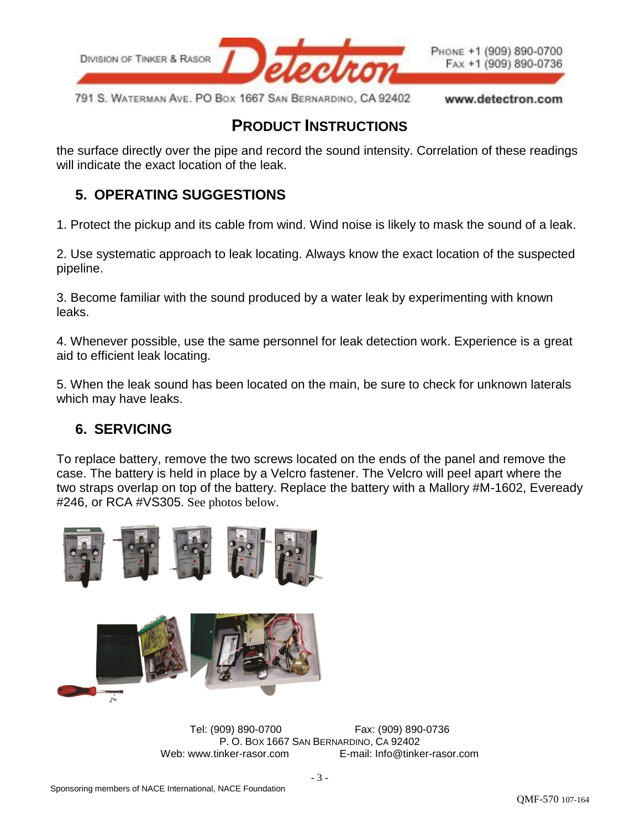

791 S. WATERMAN AVE. PO BOX 1667 SAN BERNARDINO, CA 92402 www.detectron.com

## **PRODUCT INSTRUCTIONS**

the surface directly over the pipe and record the sound intensity. Correlation of these readings will indicate the exact location of the leak.

#### **5. OPERATING SUGGESTIONS**

1. Protect the pickup and its cable from wind. Wind noise is likely to mask the sound of a leak.

2. Use systematic approach to leak locating. Always know the exact location of the suspected pipeline.

3. Become familiar with the sound produced by a water leak by experimenting with known leaks.

4. Whenever possible, use the same personnel for leak detection work. Experience is a great aid to efficient leak locating.

5. When the leak sound has been located on the main, be sure to check for unknown laterals which may have leaks.

#### **6. SERVICING**

To replace battery, remove the two screws located on the ends of the panel and remove the case. The battery is held in place by a Velcro fastener. The Velcro will peel apart where the two straps overlap on top of the battery. Replace the battery with a Mallory #M-1602, Eveready #246, or RCA #VS305. See photos below.